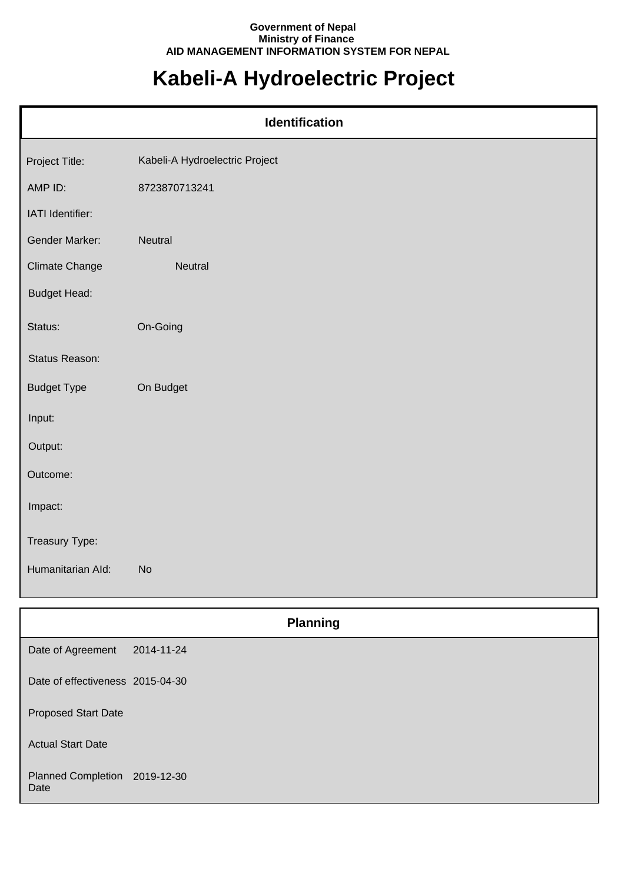## **Government of Nepal Ministry of Finance AID MANAGEMENT INFORMATION SYSTEM FOR NEPAL**

## **Kabeli-A Hydroelectric Project**

| Identification        |                                |  |
|-----------------------|--------------------------------|--|
| Project Title:        | Kabeli-A Hydroelectric Project |  |
| AMP ID:               | 8723870713241                  |  |
| IATI Identifier:      |                                |  |
| Gender Marker:        | Neutral                        |  |
| <b>Climate Change</b> | Neutral                        |  |
| <b>Budget Head:</b>   |                                |  |
| Status:               | On-Going                       |  |
| Status Reason:        |                                |  |
| <b>Budget Type</b>    | On Budget                      |  |
| Input:                |                                |  |
| Output:               |                                |  |
| Outcome:              |                                |  |
| Impact:               |                                |  |
| Treasury Type:        |                                |  |
| Humanitarian Ald:     | <b>No</b>                      |  |

|                                       | <b>Planning</b> |
|---------------------------------------|-----------------|
| Date of Agreement                     | 2014-11-24      |
| Date of effectiveness 2015-04-30      |                 |
| <b>Proposed Start Date</b>            |                 |
| <b>Actual Start Date</b>              |                 |
| Planned Completion 2019-12-30<br>Date |                 |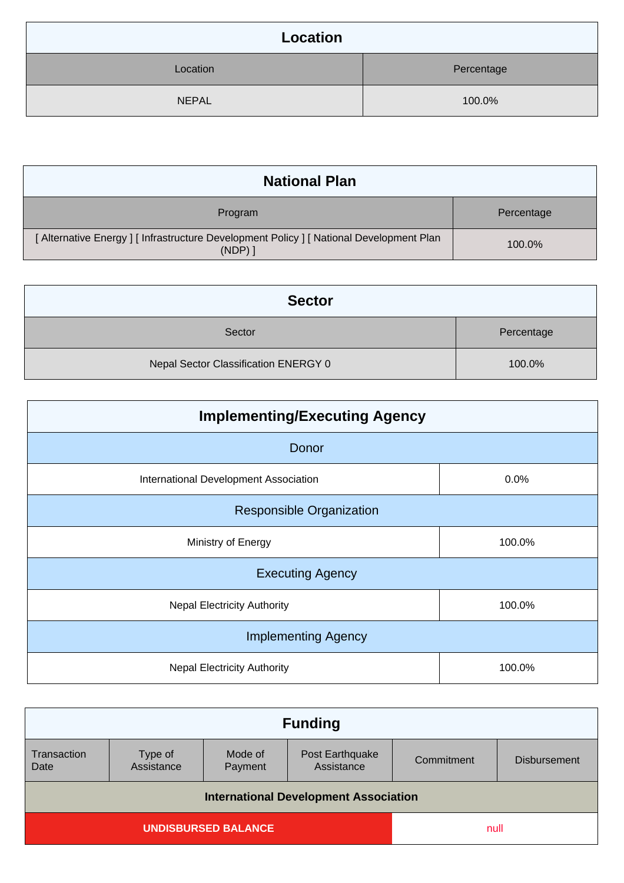| Location     |            |
|--------------|------------|
| Location     | Percentage |
| <b>NEPAL</b> | 100.0%     |

| <b>National Plan</b>                                                                              |            |
|---------------------------------------------------------------------------------------------------|------------|
| Program                                                                                           | Percentage |
| [ Alternative Energy ] [ Infrastructure Development Policy ] [ National Development Plan<br>(NDP) | 100.0%     |

| <b>Sector</b>                        |            |
|--------------------------------------|------------|
| Sector                               | Percentage |
| Nepal Sector Classification ENERGY 0 | 100.0%     |

| <b>Implementing/Executing Agency</b>  |        |  |
|---------------------------------------|--------|--|
| Donor                                 |        |  |
| International Development Association | 0.0%   |  |
| <b>Responsible Organization</b>       |        |  |
| Ministry of Energy                    | 100.0% |  |
| <b>Executing Agency</b>               |        |  |
| <b>Nepal Electricity Authority</b>    | 100.0% |  |
| <b>Implementing Agency</b>            |        |  |
| <b>Nepal Electricity Authority</b>    | 100.0% |  |

| <b>Funding</b>                               |                       |                    |                               |            |                     |
|----------------------------------------------|-----------------------|--------------------|-------------------------------|------------|---------------------|
| Transaction<br>Date                          | Type of<br>Assistance | Mode of<br>Payment | Post Earthquake<br>Assistance | Commitment | <b>Disbursement</b> |
| <b>International Development Association</b> |                       |                    |                               |            |                     |
| <b>UNDISBURSED BALANCE</b><br>null           |                       |                    |                               |            |                     |
|                                              |                       |                    |                               |            |                     |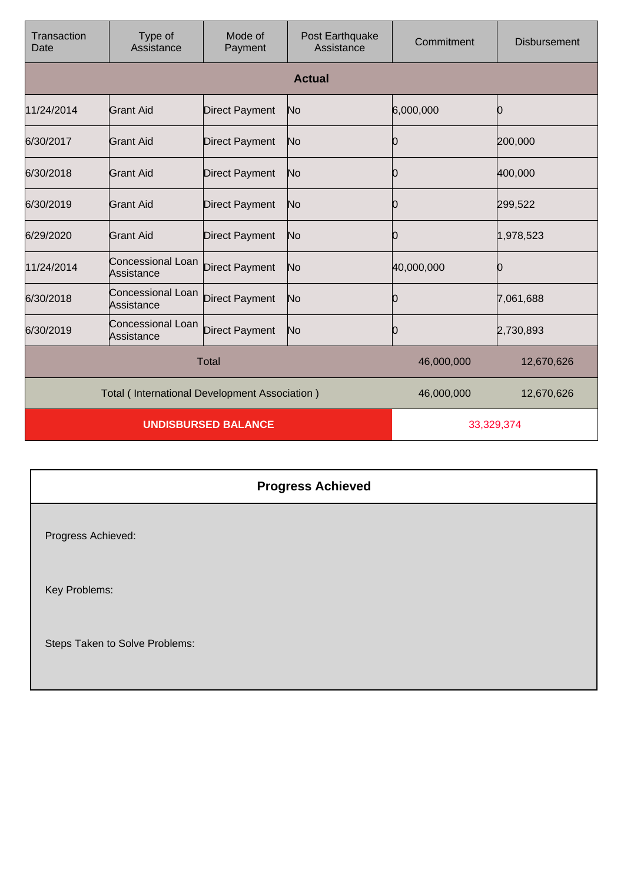| Transaction<br>Date                           | Type of<br>Assistance                  | Mode of<br>Payment    | Post Earthquake<br>Assistance | Commitment | <b>Disbursement</b> |
|-----------------------------------------------|----------------------------------------|-----------------------|-------------------------------|------------|---------------------|
|                                               |                                        |                       | <b>Actual</b>                 |            |                     |
| 11/24/2014                                    | <b>Grant Aid</b>                       | <b>Direct Payment</b> | No                            | 6,000,000  | Ю                   |
| 6/30/2017                                     | Grant Aid                              | <b>Direct Payment</b> | No                            | 0          | 200,000             |
| 6/30/2018                                     | Grant Aid                              | <b>Direct Payment</b> | No                            | Ю          | 400,000             |
| 6/30/2019                                     | Grant Aid                              | <b>Direct Payment</b> | No                            | Ю          | 299,522             |
| 6/29/2020                                     | Grant Aid                              | <b>Direct Payment</b> | No                            | 10         | 1,978,523           |
| 11/24/2014                                    | Concessional Loan<br>Assistance        | <b>Direct Payment</b> | No                            | 40,000,000 | Ю                   |
| 6/30/2018                                     | Concessional Loan<br>Assistance        | <b>Direct Payment</b> | No                            | 10         | 7,061,688           |
| 6/30/2019                                     | <b>Concessional Loan</b><br>Assistance | <b>Direct Payment</b> | No                            | Ю          | 2,730,893           |
| <b>Total</b>                                  |                                        |                       | 46,000,000                    | 12,670,626 |                     |
| Total (International Development Association) |                                        |                       | 46,000,000                    | 12,670,626 |                     |
| <b>UNDISBURSED BALANCE</b>                    |                                        |                       | 33,329,374                    |            |                     |

## **Progress Achieved**

Progress Achieved:

Key Problems:

Steps Taken to Solve Problems: